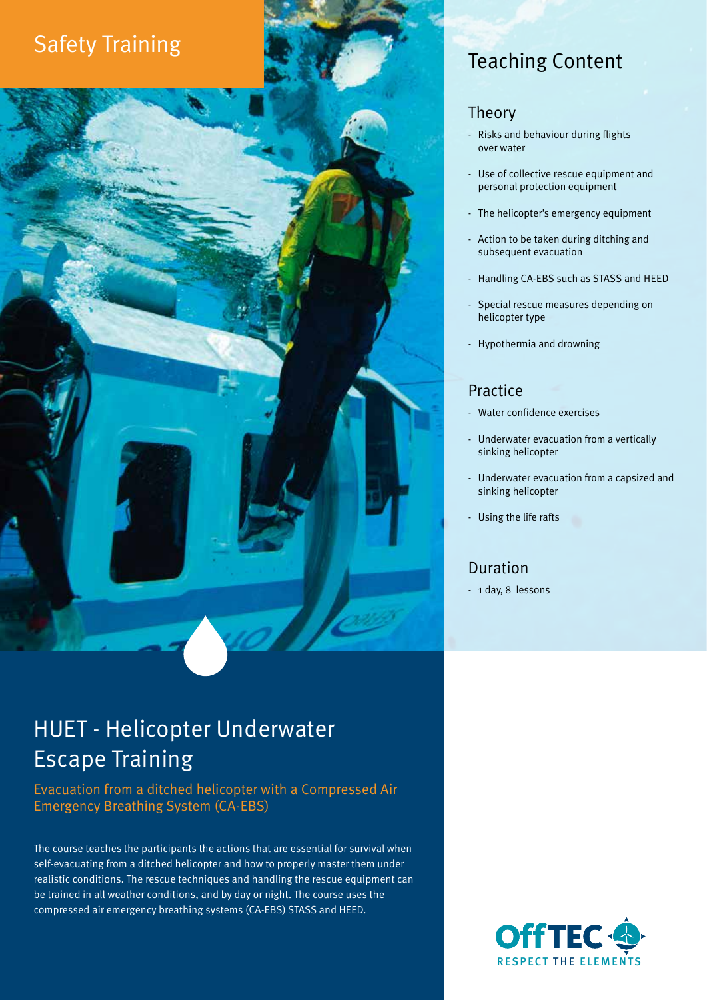# Safety Training Teaching Content

#### Theory

- Risks and behaviour during flights over water
- Use of collective rescue equipment and personal protection equipment
- The helicopter's emergency equipment
- Action to be taken during ditching and subsequent evacuation
- Handling CA-EBS such as STASS and HEED
- Special rescue measures depending on helicopter type
- Hypothermia and drowning

### Practice

- Water confidence exercises
- Underwater evacuation from a vertically sinking helicopter
- Underwater evacuation from a capsized and sinking helicopter
- Using the life rafts

### Duration

- 1 day, 8 lessons

## HUET - Helicopter Underwater Escape Training

Evacuation from a ditched helicopter with a Compressed Air Emergency Breathing System (CA-EBS)

The course teaches the participants the actions that are essential for survival when self-evacuating from a ditched helicopter and how to properly master them under realistic conditions. The rescue techniques and handling the rescue equipment can be trained in all weather conditions, and by day or night. The course uses the compressed air emergency breathing systems (CA-EBS) STASS and HEED.